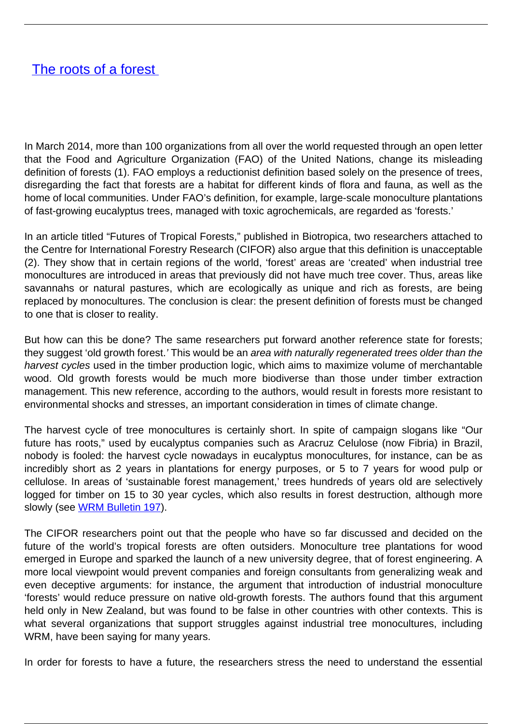## [The roots of a forest](/bulletin-articles/the-roots-of-a-forest)

In March 2014, more than 100 organizations from all over the world requested through an open letter that the Food and Agriculture Organization (FAO) of the United Nations, change its misleading definition of forests (1). FAO employs a reductionist definition based solely on the presence of trees, disregarding the fact that forests are a habitat for different kinds of flora and fauna, as well as the home of local communities. Under FAO's definition, for example, large-scale monoculture plantations of fast-growing eucalyptus trees, managed with toxic agrochemicals, are regarded as 'forests.'

In an article titled "Futures of Tropical Forests," published in Biotropica, two researchers attached to the Centre for International Forestry Research (CIFOR) also argue that this definition is unacceptable (2). They show that in certain regions of the world, 'forest' areas are 'created' when industrial tree monocultures are introduced in areas that previously did not have much tree cover. Thus, areas like savannahs or natural pastures, which are ecologically as unique and rich as forests, are being replaced by monocultures. The conclusion is clear: the present definition of forests must be changed to one that is closer to reality.

But how can this be done? The same researchers put forward another reference state for forests; they suggest 'old growth forest.' This would be an area with naturally regenerated trees older than the harvest cycles used in the timber production logic, which aims to maximize volume of merchantable wood. Old growth forests would be much more biodiverse than those under timber extraction management. This new reference, according to the authors, would result in forests more resistant to environmental shocks and stresses, an important consideration in times of climate change.

The harvest cycle of tree monocultures is certainly short. In spite of campaign slogans like "Our future has roots," used by eucalyptus companies such as Aracruz Celulose (now Fibria) in Brazil, nobody is fooled: the harvest cycle nowadays in eucalyptus monocultures, for instance, can be as incredibly short as 2 years in plantations for energy purposes, or 5 to 7 years for wood pulp or cellulose. In areas of 'sustainable forest management,' trees hundreds of years old are selectively logged for timber on 15 to 30 year cycles, which also results in forest destruction, although more slowly (see [WRM Bulletin 197](http://wrm.org.uy/bulletins/issue-197/)).

The CIFOR researchers point out that the people who have so far discussed and decided on the future of the world's tropical forests are often outsiders. Monoculture tree plantations for wood emerged in Europe and sparked the launch of a new university degree, that of forest engineering. A more local viewpoint would prevent companies and foreign consultants from generalizing weak and even deceptive arguments: for instance, the argument that introduction of industrial monoculture 'forests' would reduce pressure on native old-growth forests. The authors found that this argument held only in New Zealand, but was found to be false in other countries with other contexts. This is what several organizations that support struggles against industrial tree monocultures, including WRM, have been saying for many years.

In order for forests to have a future, the researchers stress the need to understand the essential